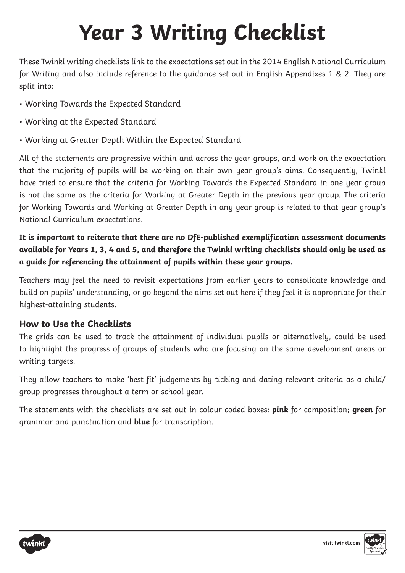These Twinkl writing checklists link to the expectations set out in the 2014 English National Curriculum for Writing and also include reference to the guidance set out in English Appendixes 1 & 2. They are split into:

- Working Towards the Expected Standard
- Working at the Expected Standard
- Working at Greater Depth Within the Expected Standard

All of the statements are progressive within and across the year groups, and work on the expectation that the majority of pupils will be working on their own year group's aims. Consequently, Twinkl have tried to ensure that the criteria for Working Towards the Expected Standard in one year group is not the same as the criteria for Working at Greater Depth in the previous year group. The criteria for Working Towards and Working at Greater Depth in any year group is related to that year group's National Curriculum expectations.

**It is important to reiterate that there are no DfE-published exemplification assessment documents available for Years 1, 3, 4 and 5, and therefore the Twinkl writing checklists should only be used as a guide for referencing the attainment of pupils within these year groups.**

Teachers may feel the need to revisit expectations from earlier years to consolidate knowledge and build on pupils' understanding, or go beyond the aims set out here if they feel it is appropriate for their highest-attaining students.

#### **How to Use the Checklists**

The grids can be used to track the attainment of individual pupils or alternatively, could be used to highlight the progress of groups of students who are focusing on the same development areas or writing targets.

They allow teachers to make 'best fit' judgements by ticking and dating relevant criteria as a child/ group progresses throughout a term or school year.

The statements with the checklists are set out in colour-coded boxes: **pink** for composition; **green** for grammar and punctuation and **blue** for transcription.



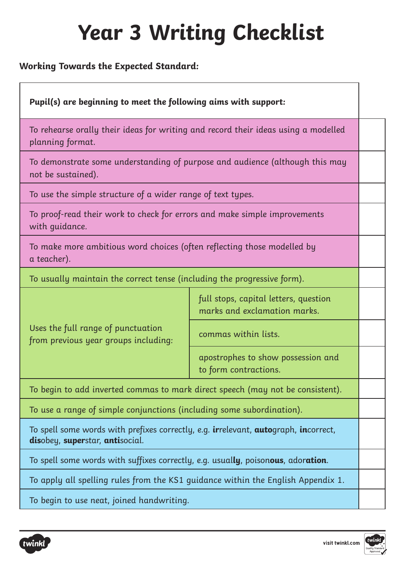#### **Working Towards the Expected Standard:**

| Pupil(s) are beginning to meet the following aims with support:                                                        |                                                                       |  |
|------------------------------------------------------------------------------------------------------------------------|-----------------------------------------------------------------------|--|
| To rehearse orally their ideas for writing and record their ideas using a modelled<br>planning format.                 |                                                                       |  |
| To demonstrate some understanding of purpose and audience (although this may<br>not be sustained).                     |                                                                       |  |
| To use the simple structure of a wider range of text types.                                                            |                                                                       |  |
| To proof-read their work to check for errors and make simple improvements<br>with guidance.                            |                                                                       |  |
| To make more ambitious word choices (often reflecting those modelled by<br>a teacher).                                 |                                                                       |  |
| To usually maintain the correct tense (including the progressive form).                                                |                                                                       |  |
| Uses the full range of punctuation<br>from previous year groups including:                                             | full stops, capital letters, question<br>marks and exclamation marks. |  |
|                                                                                                                        | commas within lists.                                                  |  |
|                                                                                                                        | apostrophes to show possession and<br>to form contractions.           |  |
| To begin to add inverted commas to mark direct speech (may not be consistent).                                         |                                                                       |  |
| To use a range of simple conjunctions (including some subordination).                                                  |                                                                       |  |
| To spell some words with prefixes correctly, e.g. irrelevant, autograph, incorrect,<br>disobey, superstar, antisocial. |                                                                       |  |
| To spell some words with suffixes correctly, e.g. usually, poisonous, adoration.                                       |                                                                       |  |
| To apply all spelling rules from the KS1 guidance within the English Appendix 1.                                       |                                                                       |  |
| To begin to use neat, joined handwriting.                                                                              |                                                                       |  |



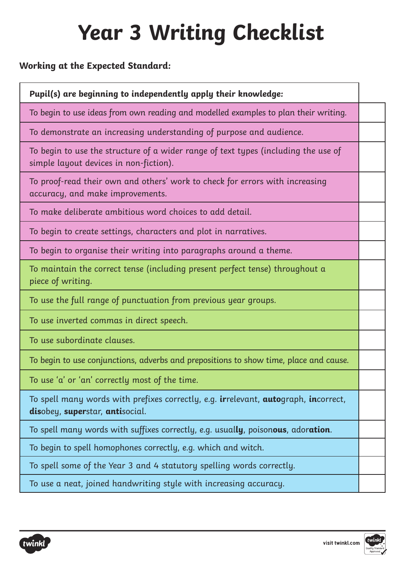#### **Working at the Expected Standard:**

| Pupil(s) are beginning to independently apply their knowledge:                                                                                 |  |
|------------------------------------------------------------------------------------------------------------------------------------------------|--|
| To begin to use ideas from own reading and modelled examples to plan their writing.                                                            |  |
| To demonstrate an increasing understanding of purpose and audience.                                                                            |  |
| To begin to use the structure of a wider range of text types (including the use of<br>simple layout devices in non-fiction).                   |  |
| To proof-read their own and others' work to check for errors with increasing<br>accuracy, and make improvements.                               |  |
| To make deliberate ambitious word choices to add detail.                                                                                       |  |
| To begin to create settings, characters and plot in narratives.                                                                                |  |
| To begin to organise their writing into paragraphs around a theme.                                                                             |  |
| To maintain the correct tense (including present perfect tense) throughout a<br>piece of writing.                                              |  |
| To use the full range of punctuation from previous year groups.                                                                                |  |
| To use inverted commas in direct speech.                                                                                                       |  |
| To use subordinate clauses.                                                                                                                    |  |
| To begin to use conjunctions, adverbs and prepositions to show time, place and cause.                                                          |  |
| To use 'a' or 'an' correctly most of the time.                                                                                                 |  |
| To spell many words with prefixes correctly, e.g. <b>ir</b> relevant, <b>auto</b> graph, <b>in</b> correct,<br>disobey, superstar, antisocial. |  |
| To spell many words with suffixes correctly, e.g. usually, poisonous, adoration.                                                               |  |
| To begin to spell homophones correctly, e.g. which and witch.                                                                                  |  |
| To spell some of the Year 3 and 4 statutory spelling words correctly.                                                                          |  |
| To use a neat, joined handwriting style with increasing accuracy.                                                                              |  |